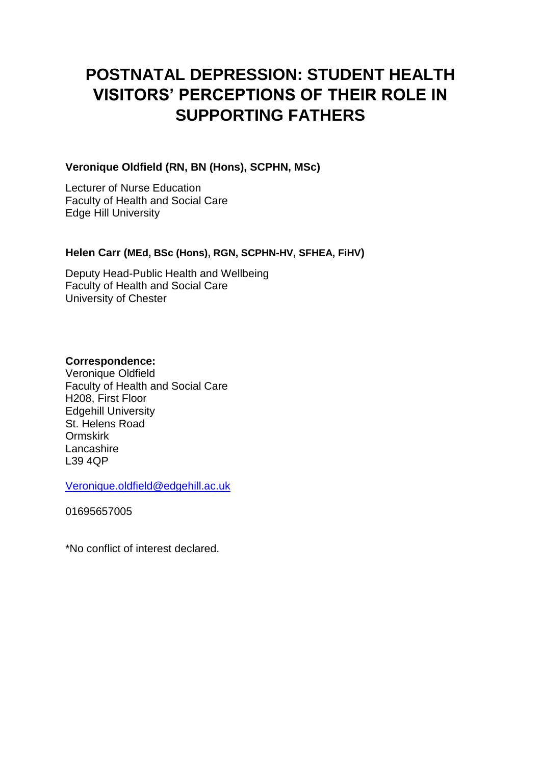# **POSTNATAL DEPRESSION: STUDENT HEALTH VISITORS' PERCEPTIONS OF THEIR ROLE IN SUPPORTING FATHERS**

## **Veronique Oldfield (RN, BN (Hons), SCPHN, MSc)**

Lecturer of Nurse Education Faculty of Health and Social Care Edge Hill University

## **Helen Carr (MEd, BSc (Hons), RGN, SCPHN-HV, SFHEA, FiHV)**

Deputy Head-Public Health and Wellbeing Faculty of Health and Social Care University of Chester

## **Correspondence:**

Veronique Oldfield Faculty of Health and Social Care H208, First Floor Edgehill University St. Helens Road Ormskirk Lancashire L39 4QP

[Veronique.oldfield@edgehill.ac.uk](mailto:Veronique.oldfield@edgehill.ac.uk)

01695657005

\*No conflict of interest declared.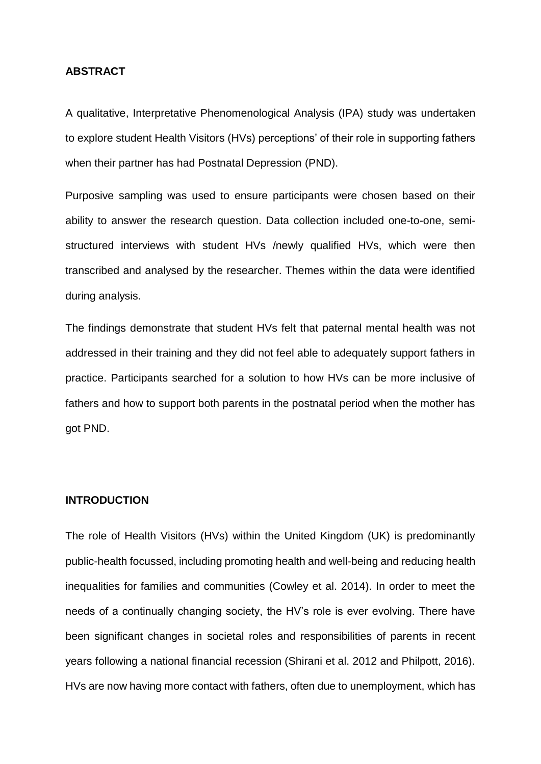#### **ABSTRACT**

A qualitative, Interpretative Phenomenological Analysis (IPA) study was undertaken to explore student Health Visitors (HVs) perceptions' of their role in supporting fathers when their partner has had Postnatal Depression (PND).

Purposive sampling was used to ensure participants were chosen based on their ability to answer the research question. Data collection included one-to-one, semistructured interviews with student HVs /newly qualified HVs, which were then transcribed and analysed by the researcher. Themes within the data were identified during analysis.

The findings demonstrate that student HVs felt that paternal mental health was not addressed in their training and they did not feel able to adequately support fathers in practice. Participants searched for a solution to how HVs can be more inclusive of fathers and how to support both parents in the postnatal period when the mother has got PND.

## **INTRODUCTION**

The role of Health Visitors (HVs) within the United Kingdom (UK) is predominantly public-health focussed, including promoting health and well-being and reducing health inequalities for families and communities (Cowley et al. 2014). In order to meet the needs of a continually changing society, the HV's role is ever evolving. There have been significant changes in societal roles and responsibilities of parents in recent years following a national financial recession (Shirani et al. 2012 and Philpott, 2016). HVs are now having more contact with fathers, often due to unemployment, which has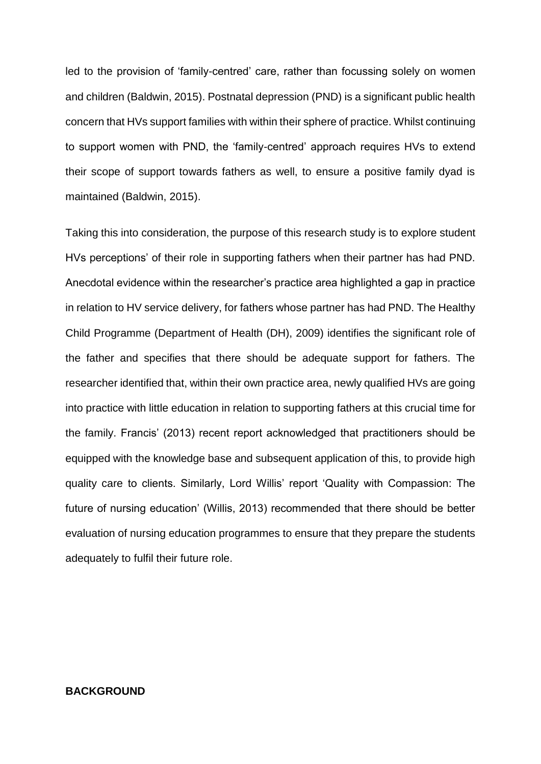led to the provision of 'family-centred' care, rather than focussing solely on women and children (Baldwin, 2015). Postnatal depression (PND) is a significant public health concern that HVs support families with within their sphere of practice. Whilst continuing to support women with PND, the 'family-centred' approach requires HVs to extend their scope of support towards fathers as well, to ensure a positive family dyad is maintained (Baldwin, 2015).

Taking this into consideration, the purpose of this research study is to explore student HVs perceptions' of their role in supporting fathers when their partner has had PND. Anecdotal evidence within the researcher's practice area highlighted a gap in practice in relation to HV service delivery, for fathers whose partner has had PND. The Healthy Child Programme (Department of Health (DH), 2009) identifies the significant role of the father and specifies that there should be adequate support for fathers. The researcher identified that, within their own practice area, newly qualified HVs are going into practice with little education in relation to supporting fathers at this crucial time for the family. Francis' (2013) recent report acknowledged that practitioners should be equipped with the knowledge base and subsequent application of this, to provide high quality care to clients. Similarly, Lord Willis' report 'Quality with Compassion: The future of nursing education' (Willis, 2013) recommended that there should be better evaluation of nursing education programmes to ensure that they prepare the students adequately to fulfil their future role.

## **BACKGROUND**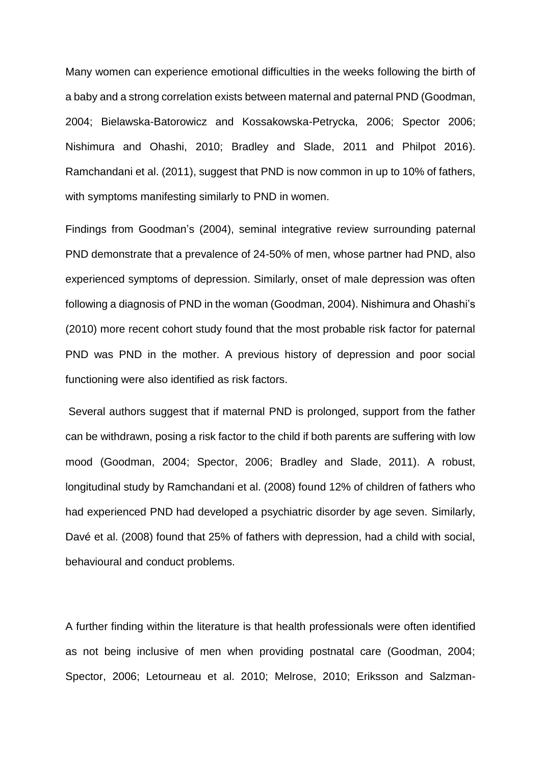Many women can experience emotional difficulties in the weeks following the birth of a baby and a strong correlation exists between maternal and paternal PND (Goodman, 2004; Bielawska-Batorowicz and Kossakowska-Petrycka, 2006; Spector 2006; Nishimura and Ohashi, 2010; Bradley and Slade, 2011 and Philpot 2016). Ramchandani et al. (2011), suggest that PND is now common in up to 10% of fathers, with symptoms manifesting similarly to PND in women.

Findings from Goodman's (2004), seminal integrative review surrounding paternal PND demonstrate that a prevalence of 24-50% of men, whose partner had PND, also experienced symptoms of depression. Similarly, onset of male depression was often following a diagnosis of PND in the woman (Goodman, 2004). Nishimura and Ohashi's (2010) more recent cohort study found that the most probable risk factor for paternal PND was PND in the mother. A previous history of depression and poor social functioning were also identified as risk factors.

Several authors suggest that if maternal PND is prolonged, support from the father can be withdrawn, posing a risk factor to the child if both parents are suffering with low mood (Goodman, 2004; Spector, 2006; Bradley and Slade, 2011). A robust, longitudinal study by Ramchandani et al. (2008) found 12% of children of fathers who had experienced PND had developed a psychiatric disorder by age seven. Similarly, Davé et al. (2008) found that 25% of fathers with depression, had a child with social, behavioural and conduct problems.

A further finding within the literature is that health professionals were often identified as not being inclusive of men when providing postnatal care (Goodman, 2004; Spector, 2006; Letourneau et al. 2010; Melrose, 2010; Eriksson and Salzman-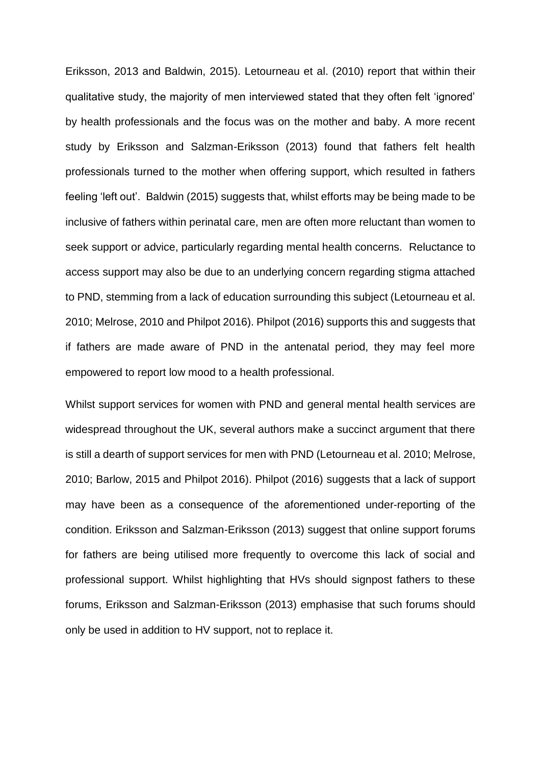Eriksson, 2013 and Baldwin, 2015). Letourneau et al. (2010) report that within their qualitative study, the majority of men interviewed stated that they often felt 'ignored' by health professionals and the focus was on the mother and baby. A more recent study by Eriksson and Salzman-Eriksson (2013) found that fathers felt health professionals turned to the mother when offering support, which resulted in fathers feeling 'left out'. Baldwin (2015) suggests that, whilst efforts may be being made to be inclusive of fathers within perinatal care, men are often more reluctant than women to seek support or advice, particularly regarding mental health concerns. Reluctance to access support may also be due to an underlying concern regarding stigma attached to PND, stemming from a lack of education surrounding this subject (Letourneau et al. 2010; Melrose, 2010 and Philpot 2016). Philpot (2016) supports this and suggests that if fathers are made aware of PND in the antenatal period, they may feel more empowered to report low mood to a health professional.

Whilst support services for women with PND and general mental health services are widespread throughout the UK, several authors make a succinct argument that there is still a dearth of support services for men with PND (Letourneau et al. 2010; Melrose, 2010; Barlow, 2015 and Philpot 2016). Philpot (2016) suggests that a lack of support may have been as a consequence of the aforementioned under-reporting of the condition. Eriksson and Salzman-Eriksson (2013) suggest that online support forums for fathers are being utilised more frequently to overcome this lack of social and professional support. Whilst highlighting that HVs should signpost fathers to these forums, Eriksson and Salzman-Eriksson (2013) emphasise that such forums should only be used in addition to HV support, not to replace it.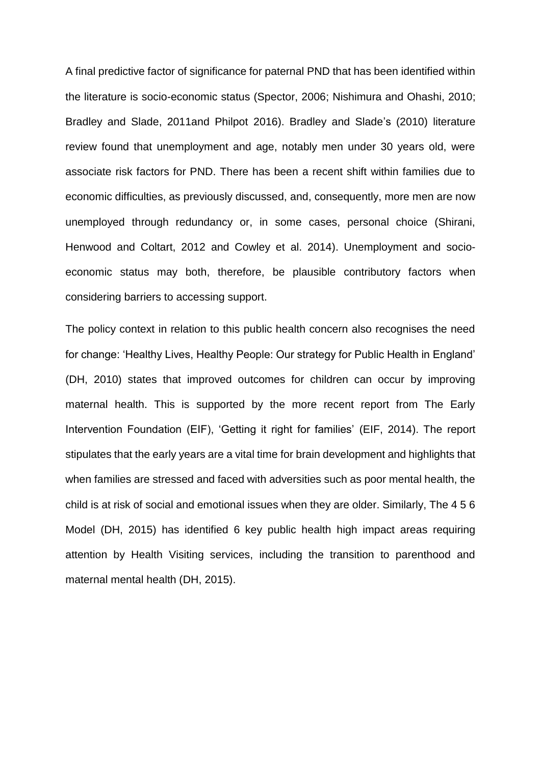A final predictive factor of significance for paternal PND that has been identified within the literature is socio-economic status (Spector, 2006; Nishimura and Ohashi, 2010; Bradley and Slade, 2011and Philpot 2016). Bradley and Slade's (2010) literature review found that unemployment and age, notably men under 30 years old, were associate risk factors for PND. There has been a recent shift within families due to economic difficulties, as previously discussed, and, consequently, more men are now unemployed through redundancy or, in some cases, personal choice (Shirani, Henwood and Coltart, 2012 and Cowley et al. 2014). Unemployment and socioeconomic status may both, therefore, be plausible contributory factors when considering barriers to accessing support.

The policy context in relation to this public health concern also recognises the need for change: 'Healthy Lives, Healthy People: Our strategy for Public Health in England' (DH, 2010) states that improved outcomes for children can occur by improving maternal health. This is supported by the more recent report from The Early Intervention Foundation (EIF), 'Getting it right for families' (EIF, 2014). The report stipulates that the early years are a vital time for brain development and highlights that when families are stressed and faced with adversities such as poor mental health, the child is at risk of social and emotional issues when they are older. Similarly, The 4 5 6 Model (DH, 2015) has identified 6 key public health high impact areas requiring attention by Health Visiting services, including the transition to parenthood and maternal mental health (DH, 2015).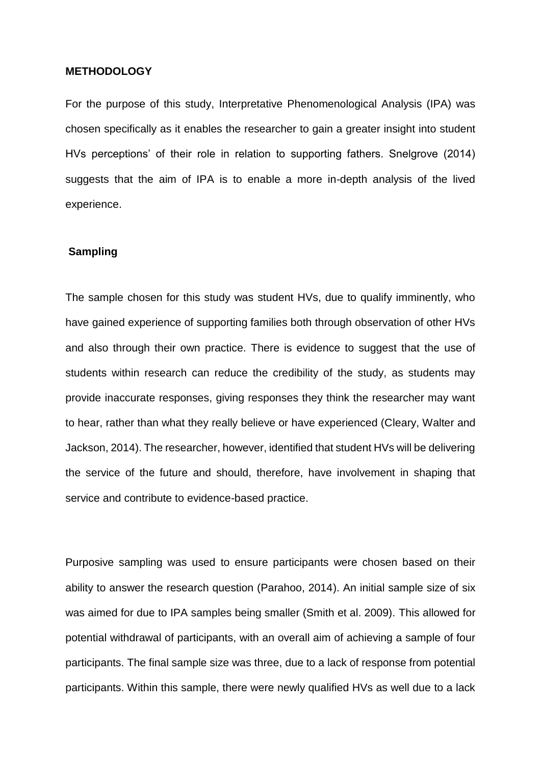#### **METHODOLOGY**

For the purpose of this study, Interpretative Phenomenological Analysis (IPA) was chosen specifically as it enables the researcher to gain a greater insight into student HVs perceptions' of their role in relation to supporting fathers. Snelgrove (2014) suggests that the aim of IPA is to enable a more in-depth analysis of the lived experience.

#### **Sampling**

The sample chosen for this study was student HVs, due to qualify imminently, who have gained experience of supporting families both through observation of other HVs and also through their own practice. There is evidence to suggest that the use of students within research can reduce the credibility of the study, as students may provide inaccurate responses, giving responses they think the researcher may want to hear, rather than what they really believe or have experienced (Cleary, Walter and Jackson, 2014). The researcher, however, identified that student HVs will be delivering the service of the future and should, therefore, have involvement in shaping that service and contribute to evidence-based practice.

Purposive sampling was used to ensure participants were chosen based on their ability to answer the research question (Parahoo, 2014). An initial sample size of six was aimed for due to IPA samples being smaller (Smith et al. 2009). This allowed for potential withdrawal of participants, with an overall aim of achieving a sample of four participants. The final sample size was three, due to a lack of response from potential participants. Within this sample, there were newly qualified HVs as well due to a lack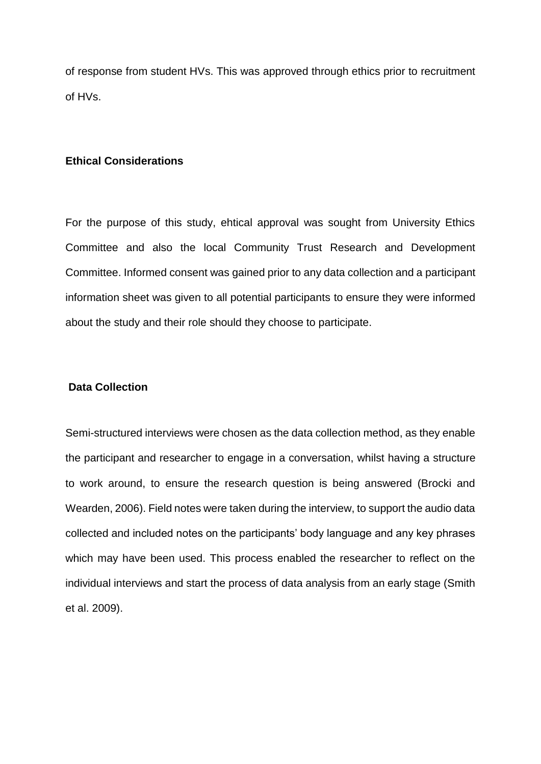of response from student HVs. This was approved through ethics prior to recruitment of HVs.

## **Ethical Considerations**

For the purpose of this study, ehtical approval was sought from University Ethics Committee and also the local Community Trust Research and Development Committee. Informed consent was gained prior to any data collection and a participant information sheet was given to all potential participants to ensure they were informed about the study and their role should they choose to participate.

#### **Data Collection**

Semi-structured interviews were chosen as the data collection method, as they enable the participant and researcher to engage in a conversation, whilst having a structure to work around, to ensure the research question is being answered (Brocki and Wearden, 2006). Field notes were taken during the interview, to support the audio data collected and included notes on the participants' body language and any key phrases which may have been used. This process enabled the researcher to reflect on the individual interviews and start the process of data analysis from an early stage (Smith et al. 2009).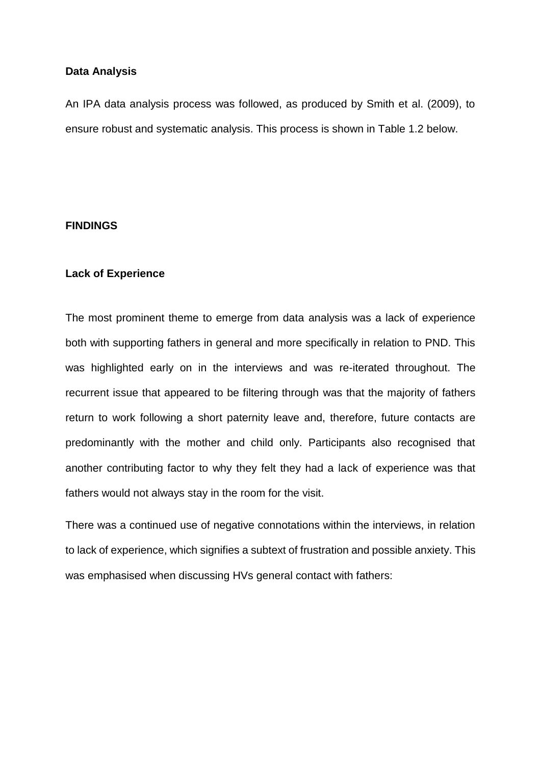## **Data Analysis**

An IPA data analysis process was followed, as produced by Smith et al. (2009), to ensure robust and systematic analysis. This process is shown in Table 1.2 below.

## **FINDINGS**

## **Lack of Experience**

The most prominent theme to emerge from data analysis was a lack of experience both with supporting fathers in general and more specifically in relation to PND. This was highlighted early on in the interviews and was re-iterated throughout. The recurrent issue that appeared to be filtering through was that the majority of fathers return to work following a short paternity leave and, therefore, future contacts are predominantly with the mother and child only. Participants also recognised that another contributing factor to why they felt they had a lack of experience was that fathers would not always stay in the room for the visit.

There was a continued use of negative connotations within the interviews, in relation to lack of experience, which signifies a subtext of frustration and possible anxiety. This was emphasised when discussing HVs general contact with fathers: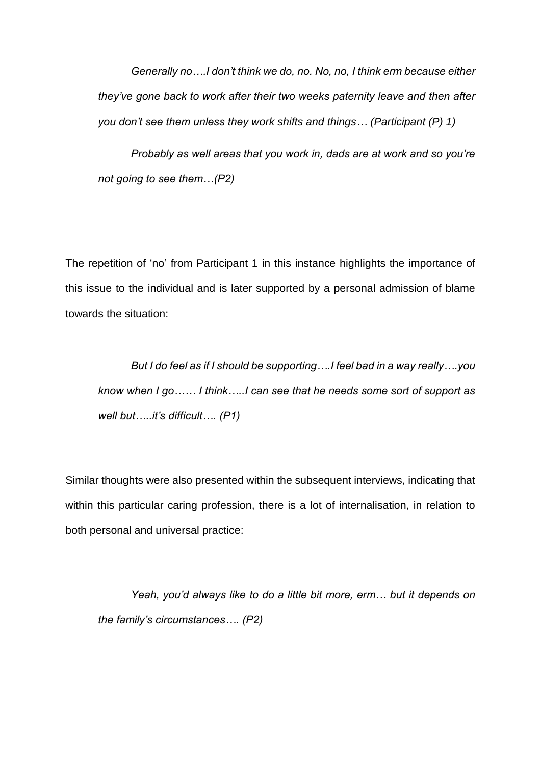*Generally no….I don't think we do, no. No, no, I think erm because either they've gone back to work after their two weeks paternity leave and then after you don't see them unless they work shifts and things… (Participant (P) 1)*

*Probably as well areas that you work in, dads are at work and so you're not going to see them…(P2)*

The repetition of 'no' from Participant 1 in this instance highlights the importance of this issue to the individual and is later supported by a personal admission of blame towards the situation:

*But I do feel as if I should be supporting….I feel bad in a way really….you know when I go…… I think…..I can see that he needs some sort of support as well but…..it's difficult…. (P1)*

Similar thoughts were also presented within the subsequent interviews, indicating that within this particular caring profession, there is a lot of internalisation, in relation to both personal and universal practice:

*Yeah, you'd always like to do a little bit more, erm… but it depends on the family's circumstances…. (P2)*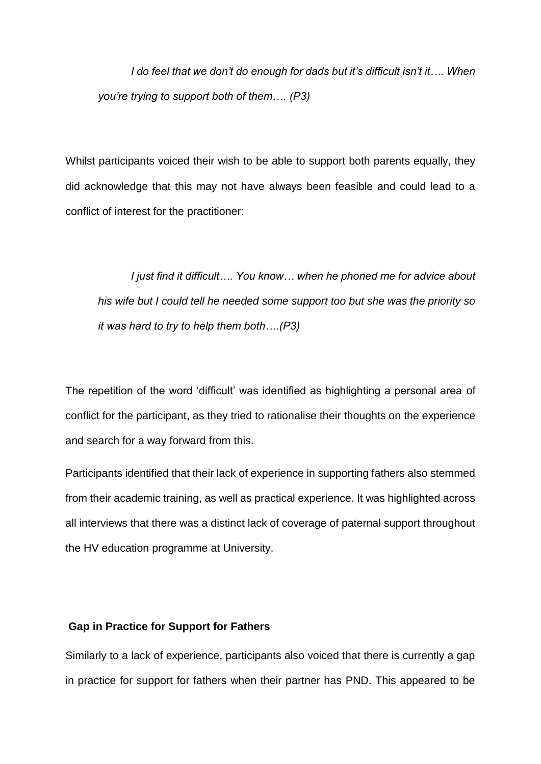*I do feel that we don't do enough for dads but it's difficult isn't it…. When you're trying to support both of them…. (P3)*

Whilst participants voiced their wish to be able to support both parents equally, they did acknowledge that this may not have always been feasible and could lead to a conflict of interest for the practitioner:

*I just find it difficult…. You know… when he phoned me for advice about his wife but I could tell he needed some support too but she was the priority so it was hard to try to help them both….(P3)*

The repetition of the word 'difficult' was identified as highlighting a personal area of conflict for the participant, as they tried to rationalise their thoughts on the experience and search for a way forward from this.

Participants identified that their lack of experience in supporting fathers also stemmed from their academic training, as well as practical experience. It was highlighted across all interviews that there was a distinct lack of coverage of paternal support throughout the HV education programme at University.

## **Gap in Practice for Support for Fathers**

Similarly to a lack of experience, participants also voiced that there is currently a gap in practice for support for fathers when their partner has PND. This appeared to be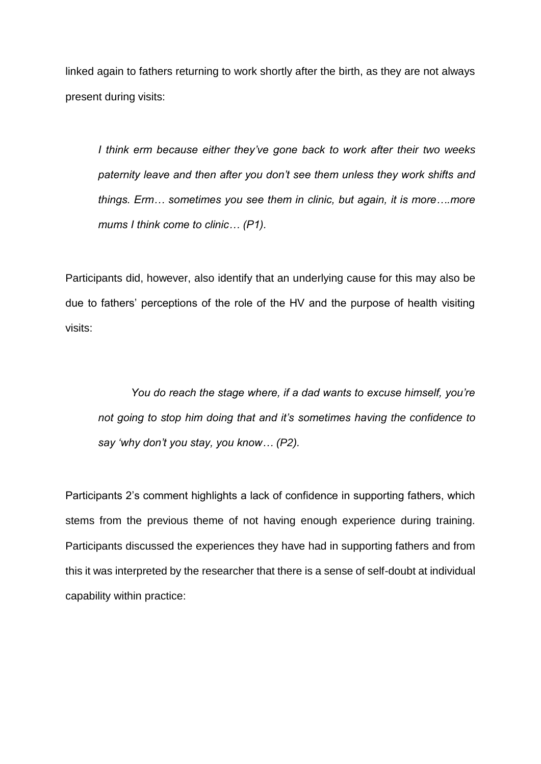linked again to fathers returning to work shortly after the birth, as they are not always present during visits:

*I think erm because either they've gone back to work after their two weeks paternity leave and then after you don't see them unless they work shifts and things. Erm… sometimes you see them in clinic, but again, it is more….more mums I think come to clinic… (P1).*

Participants did, however, also identify that an underlying cause for this may also be due to fathers' perceptions of the role of the HV and the purpose of health visiting visits:

*You do reach the stage where, if a dad wants to excuse himself, you're not going to stop him doing that and it's sometimes having the confidence to say 'why don't you stay, you know… (P2).*

Participants 2's comment highlights a lack of confidence in supporting fathers, which stems from the previous theme of not having enough experience during training. Participants discussed the experiences they have had in supporting fathers and from this it was interpreted by the researcher that there is a sense of self-doubt at individual capability within practice: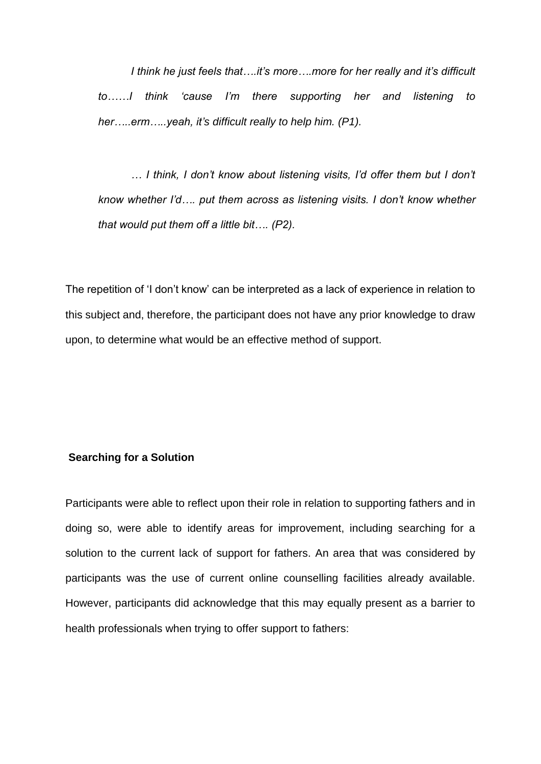*I think he just feels that….it's more….more for her really and it's difficult to……I think 'cause I'm there supporting her and listening to her…..erm…..yeah, it's difficult really to help him. (P1).*

*… I think, I don't know about listening visits, I'd offer them but I don't know whether I'd…. put them across as listening visits. I don't know whether that would put them off a little bit…. (P2).*

The repetition of 'I don't know' can be interpreted as a lack of experience in relation to this subject and, therefore, the participant does not have any prior knowledge to draw upon, to determine what would be an effective method of support.

## **Searching for a Solution**

Participants were able to reflect upon their role in relation to supporting fathers and in doing so, were able to identify areas for improvement, including searching for a solution to the current lack of support for fathers. An area that was considered by participants was the use of current online counselling facilities already available. However, participants did acknowledge that this may equally present as a barrier to health professionals when trying to offer support to fathers: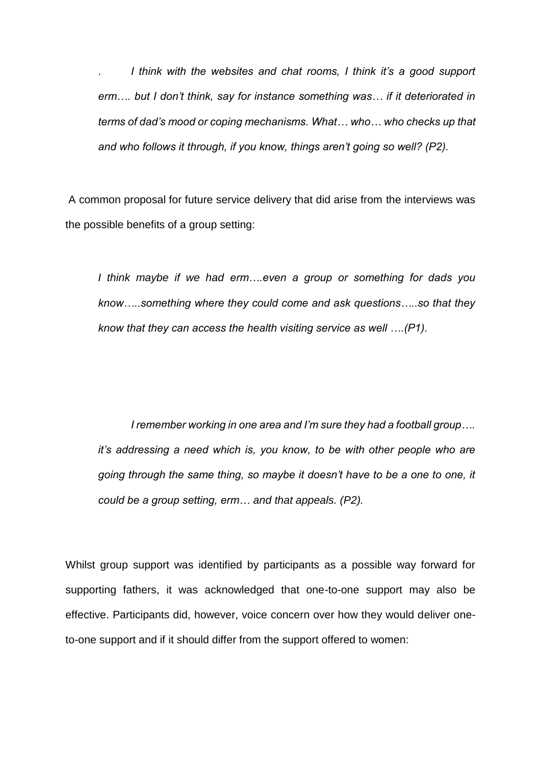. *I think with the websites and chat rooms, I think it's a good support erm…. but I don't think, say for instance something was… if it deteriorated in terms of dad's mood or coping mechanisms. What… who… who checks up that and who follows it through, if you know, things aren't going so well? (P2).*

A common proposal for future service delivery that did arise from the interviews was the possible benefits of a group setting:

*I think maybe if we had erm….even a group or something for dads you know…..something where they could come and ask questions…..so that they know that they can access the health visiting service as well ….(P1).*

*I remember working in one area and I'm sure they had a football group…. it's addressing a need which is, you know, to be with other people who are going through the same thing, so maybe it doesn't have to be a one to one, it could be a group setting, erm… and that appeals. (P2).*

Whilst group support was identified by participants as a possible way forward for supporting fathers, it was acknowledged that one-to-one support may also be effective. Participants did, however, voice concern over how they would deliver oneto-one support and if it should differ from the support offered to women: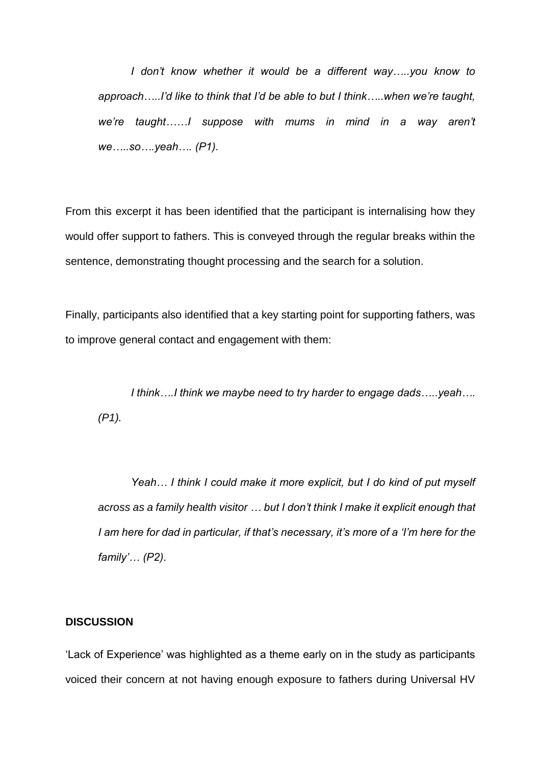*I don't know whether it would be a different way…..you know to approach…..I'd like to think that I'd be able to but I think…..when we're taught, we're taught……I suppose with mums in mind in a way aren't we…..so….yeah…. (P1).*

From this excerpt it has been identified that the participant is internalising how they would offer support to fathers. This is conveyed through the regular breaks within the sentence, demonstrating thought processing and the search for a solution.

Finally, participants also identified that a key starting point for supporting fathers, was to improve general contact and engagement with them:

*I think….I think we maybe need to try harder to engage dads…..yeah…. (P1).*

*Yeah… I think I could make it more explicit, but I do kind of put myself across as a family health visitor … but I don't think I make it explicit enough that I am here for dad in particular, if that's necessary, it's more of a 'I'm here for the family'… (P2).*

#### **DISCUSSION**

'Lack of Experience' was highlighted as a theme early on in the study as participants voiced their concern at not having enough exposure to fathers during Universal HV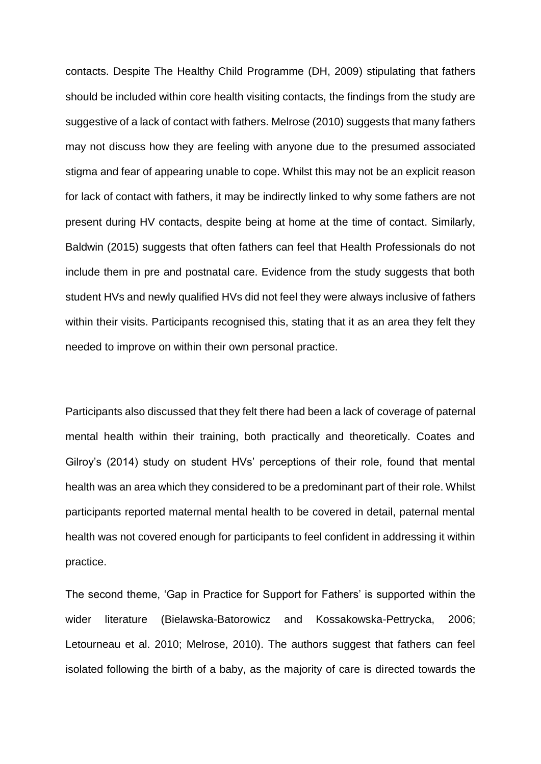contacts. Despite The Healthy Child Programme (DH, 2009) stipulating that fathers should be included within core health visiting contacts, the findings from the study are suggestive of a lack of contact with fathers. Melrose (2010) suggests that many fathers may not discuss how they are feeling with anyone due to the presumed associated stigma and fear of appearing unable to cope. Whilst this may not be an explicit reason for lack of contact with fathers, it may be indirectly linked to why some fathers are not present during HV contacts, despite being at home at the time of contact. Similarly, Baldwin (2015) suggests that often fathers can feel that Health Professionals do not include them in pre and postnatal care. Evidence from the study suggests that both student HVs and newly qualified HVs did not feel they were always inclusive of fathers within their visits. Participants recognised this, stating that it as an area they felt they needed to improve on within their own personal practice.

Participants also discussed that they felt there had been a lack of coverage of paternal mental health within their training, both practically and theoretically. Coates and Gilroy's (2014) study on student HVs' perceptions of their role, found that mental health was an area which they considered to be a predominant part of their role. Whilst participants reported maternal mental health to be covered in detail, paternal mental health was not covered enough for participants to feel confident in addressing it within practice.

The second theme, 'Gap in Practice for Support for Fathers' is supported within the wider literature (Bielawska-Batorowicz and Kossakowska-Pettrycka, 2006; Letourneau et al. 2010; Melrose, 2010). The authors suggest that fathers can feel isolated following the birth of a baby, as the majority of care is directed towards the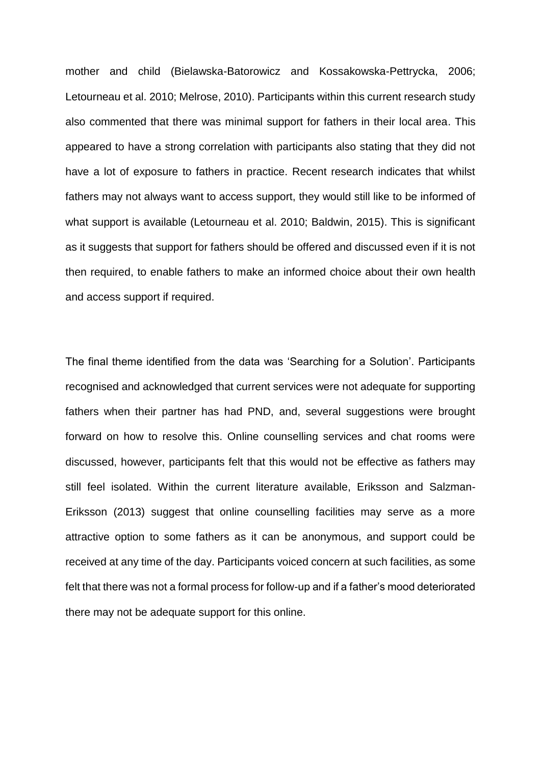mother and child (Bielawska-Batorowicz and Kossakowska-Pettrycka, 2006; Letourneau et al. 2010; Melrose, 2010). Participants within this current research study also commented that there was minimal support for fathers in their local area. This appeared to have a strong correlation with participants also stating that they did not have a lot of exposure to fathers in practice. Recent research indicates that whilst fathers may not always want to access support, they would still like to be informed of what support is available (Letourneau et al. 2010; Baldwin, 2015). This is significant as it suggests that support for fathers should be offered and discussed even if it is not then required, to enable fathers to make an informed choice about their own health and access support if required.

The final theme identified from the data was 'Searching for a Solution'. Participants recognised and acknowledged that current services were not adequate for supporting fathers when their partner has had PND, and, several suggestions were brought forward on how to resolve this. Online counselling services and chat rooms were discussed, however, participants felt that this would not be effective as fathers may still feel isolated. Within the current literature available, Eriksson and Salzman-Eriksson (2013) suggest that online counselling facilities may serve as a more attractive option to some fathers as it can be anonymous, and support could be received at any time of the day. Participants voiced concern at such facilities, as some felt that there was not a formal process for follow-up and if a father's mood deteriorated there may not be adequate support for this online.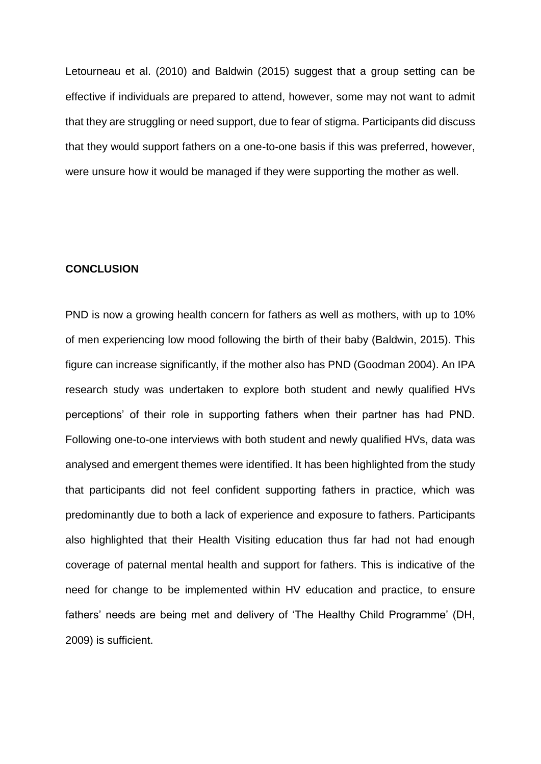Letourneau et al. (2010) and Baldwin (2015) suggest that a group setting can be effective if individuals are prepared to attend, however, some may not want to admit that they are struggling or need support, due to fear of stigma. Participants did discuss that they would support fathers on a one-to-one basis if this was preferred, however, were unsure how it would be managed if they were supporting the mother as well.

## **CONCLUSION**

PND is now a growing health concern for fathers as well as mothers, with up to 10% of men experiencing low mood following the birth of their baby (Baldwin, 2015). This figure can increase significantly, if the mother also has PND (Goodman 2004). An IPA research study was undertaken to explore both student and newly qualified HVs perceptions' of their role in supporting fathers when their partner has had PND. Following one-to-one interviews with both student and newly qualified HVs, data was analysed and emergent themes were identified. It has been highlighted from the study that participants did not feel confident supporting fathers in practice, which was predominantly due to both a lack of experience and exposure to fathers. Participants also highlighted that their Health Visiting education thus far had not had enough coverage of paternal mental health and support for fathers. This is indicative of the need for change to be implemented within HV education and practice, to ensure fathers' needs are being met and delivery of 'The Healthy Child Programme' (DH, 2009) is sufficient.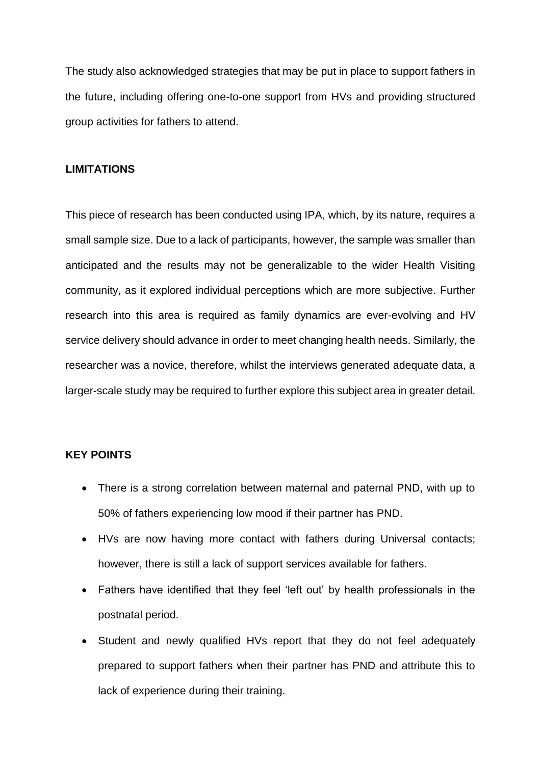The study also acknowledged strategies that may be put in place to support fathers in the future, including offering one-to-one support from HVs and providing structured group activities for fathers to attend.

## **LIMITATIONS**

This piece of research has been conducted using IPA, which, by its nature, requires a small sample size. Due to a lack of participants, however, the sample was smaller than anticipated and the results may not be generalizable to the wider Health Visiting community, as it explored individual perceptions which are more subjective. Further research into this area is required as family dynamics are ever-evolving and HV service delivery should advance in order to meet changing health needs. Similarly, the researcher was a novice, therefore, whilst the interviews generated adequate data, a larger-scale study may be required to further explore this subject area in greater detail.

## **KEY POINTS**

- There is a strong correlation between maternal and paternal PND, with up to 50% of fathers experiencing low mood if their partner has PND.
- HVs are now having more contact with fathers during Universal contacts; however, there is still a lack of support services available for fathers.
- Fathers have identified that they feel 'left out' by health professionals in the postnatal period.
- Student and newly qualified HVs report that they do not feel adequately prepared to support fathers when their partner has PND and attribute this to lack of experience during their training.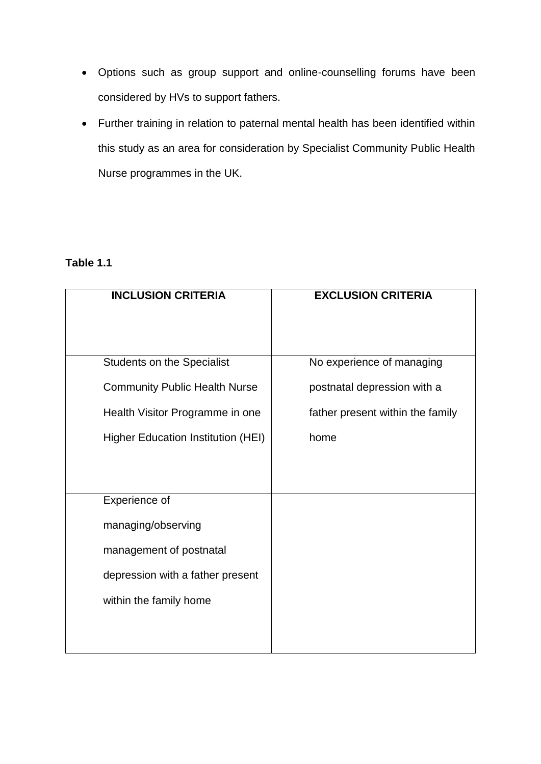- Options such as group support and online-counselling forums have been considered by HVs to support fathers.
- Further training in relation to paternal mental health has been identified within this study as an area for consideration by Specialist Community Public Health Nurse programmes in the UK.

# **Table 1.1**

| <b>INCLUSION CRITERIA</b>                 | <b>EXCLUSION CRITERIA</b>        |
|-------------------------------------------|----------------------------------|
|                                           |                                  |
| <b>Students on the Specialist</b>         | No experience of managing        |
| <b>Community Public Health Nurse</b>      | postnatal depression with a      |
| Health Visitor Programme in one           | father present within the family |
| <b>Higher Education Institution (HEI)</b> | home                             |
|                                           |                                  |
|                                           |                                  |
| Experience of                             |                                  |
| managing/observing                        |                                  |
| management of postnatal                   |                                  |
| depression with a father present          |                                  |
| within the family home                    |                                  |
|                                           |                                  |
|                                           |                                  |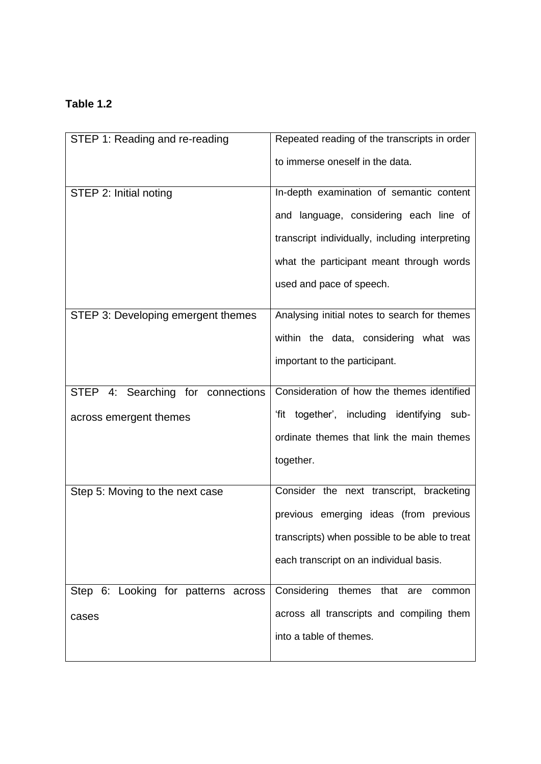# **Table 1.2**

| STEP 1: Reading and re-reading      | Repeated reading of the transcripts in order    |
|-------------------------------------|-------------------------------------------------|
|                                     | to immerse oneself in the data.                 |
| STEP 2: Initial noting              | In-depth examination of semantic content        |
|                                     | and language, considering each line of          |
|                                     | transcript individually, including interpreting |
|                                     | what the participant meant through words        |
|                                     | used and pace of speech.                        |
| STEP 3: Developing emergent themes  | Analysing initial notes to search for themes    |
|                                     | within the data, considering what was           |
|                                     | important to the participant.                   |
|                                     |                                                 |
| STEP 4: Searching for connections   | Consideration of how the themes identified      |
| across emergent themes              | 'fit together', including identifying sub-      |
|                                     | ordinate themes that link the main themes       |
|                                     | together.                                       |
| Step 5: Moving to the next case     | Consider the next transcript, bracketing        |
|                                     | previous emerging ideas (from previous          |
|                                     | transcripts) when possible to be able to treat  |
|                                     | each transcript on an individual basis.         |
|                                     |                                                 |
| Step 6: Looking for patterns across | Considering<br>themes<br>that<br>are<br>common  |
| cases                               | across all transcripts and compiling them       |
|                                     | into a table of themes.                         |
|                                     |                                                 |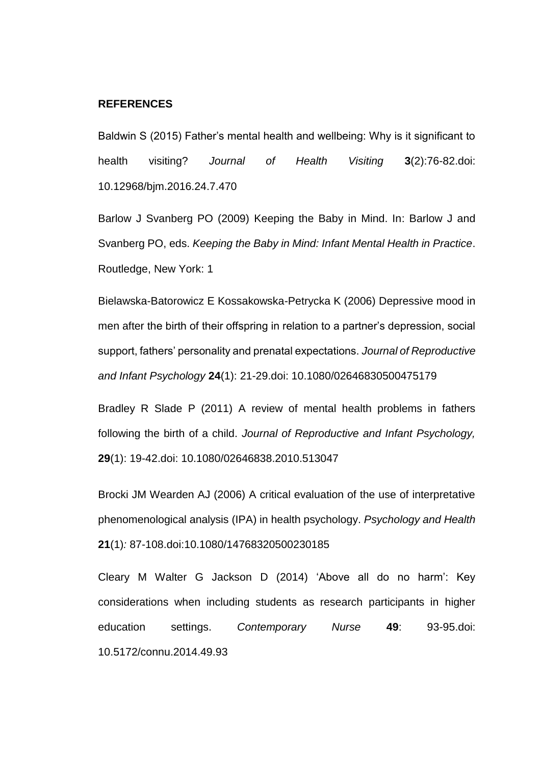## **REFERENCES**

Baldwin S (2015) Father's mental health and wellbeing: Why is it significant to health visiting? *Journal of Health Visiting* **3**(2):76-82.doi: 10.12968/bjm.2016.24.7.470

Barlow J Svanberg PO (2009) Keeping the Baby in Mind. In: Barlow J and Svanberg PO, eds. *Keeping the Baby in Mind: Infant Mental Health in Practice*. Routledge, New York: 1

Bielawska-Batorowicz E Kossakowska-Petrycka K (2006) Depressive mood in men after the birth of their offspring in relation to a partner's depression, social support, fathers' personality and prenatal expectations. *Journal of Reproductive and Infant Psychology* **24**(1): 21-29.doi: 10.1080/02646830500475179

Bradley R Slade P (2011) A review of mental health problems in fathers following the birth of a child. *Journal of Reproductive and Infant Psychology,*  **29**(1): 19-42.doi: 10.1080/02646838.2010.513047

Brocki JM Wearden AJ (2006) A critical evaluation of the use of interpretative phenomenological analysis (IPA) in health psychology. *Psychology and Health*  **21**(1)*:* 87-108.doi:10.1080/14768320500230185

Cleary M Walter G Jackson D (2014) 'Above all do no harm': Key considerations when including students as research participants in higher education settings. *Contemporary Nurse* **49**: 93-95.doi: 10.5172/connu.2014.49.93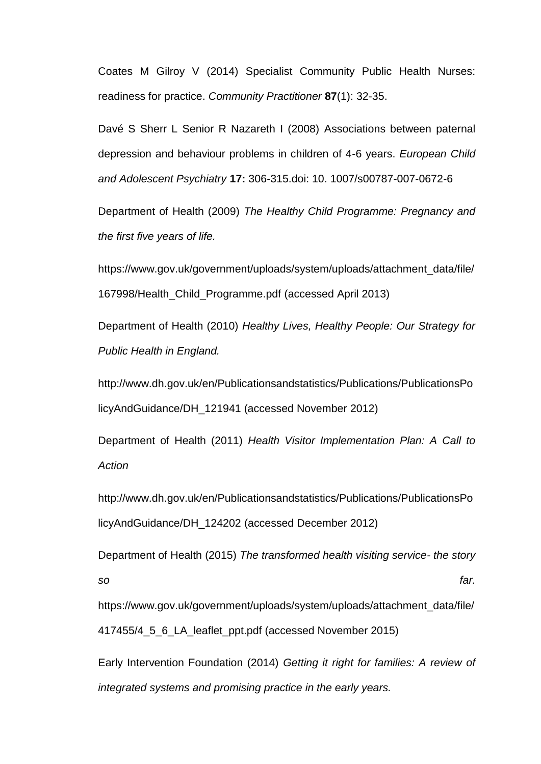Coates M Gilroy V (2014) Specialist Community Public Health Nurses: readiness for practice. *Community Practitioner* **87**(1): 32-35.

Davé S Sherr L Senior R Nazareth I (2008) Associations between paternal depression and behaviour problems in children of 4-6 years. *European Child and Adolescent Psychiatry* **17:** 306-315.doi: 10. 1007/s00787-007-0672-6

Department of Health (2009) *The Healthy Child Programme: Pregnancy and the first five years of life.*

[https://www.gov.uk/government/uploads/system/uploads/attachment\\_data/file/](https://www.gov.uk/government/uploads/system/uploads/attachment_data/file/167998/Health_Child_Programme.pdf) [167998/Health\\_Child\\_Programme.pdf](https://www.gov.uk/government/uploads/system/uploads/attachment_data/file/167998/Health_Child_Programme.pdf) (accessed April 2013)

Department of Health (2010) *Healthy Lives, Healthy People: Our Strategy for Public Health in England.*

[http://www.dh.gov.uk/en/Publicationsandstatistics/Publications/PublicationsPo](http://www.dh.gov.uk/en/Publicationsandstatistics/Publications/PublicationsPolicyAndGuidance/DH_121941%20(accessed%20November) [licyAndGuidance/DH\\_121941 \(accessed November](http://www.dh.gov.uk/en/Publicationsandstatistics/Publications/PublicationsPolicyAndGuidance/DH_121941%20(accessed%20November) 2012)

Department of Health (2011) *Health Visitor Implementation Plan: A Call to Action*

[http://www.dh.gov.uk/en/Publicationsandstatistics/Publications/PublicationsPo](http://www.dh.gov.uk/en/Publicationsandstatistics/Publications/PublicationsPolicyAndGuidance/DH_124202) [licyAndGuidance/DH\\_124202](http://www.dh.gov.uk/en/Publicationsandstatistics/Publications/PublicationsPolicyAndGuidance/DH_124202) (accessed December 2012)

Department of Health (2015) *The transformed health visiting service- the story so far.* 

[https://www.gov.uk/government/uploads/system/uploads/attachment\\_data/file/](ttps://www.gov.uk/government/uploads/system/uploads/attachment_data/file/4) [41](ttps://www.gov.uk/government/uploads/system/uploads/attachment_data/file/4)7455/4\_5\_6\_LA\_leaflet\_ppt.pdf (accessed November 2015)

Early Intervention Foundation (2014) *Getting it right for families: A review of integrated systems and promising practice in the early years.*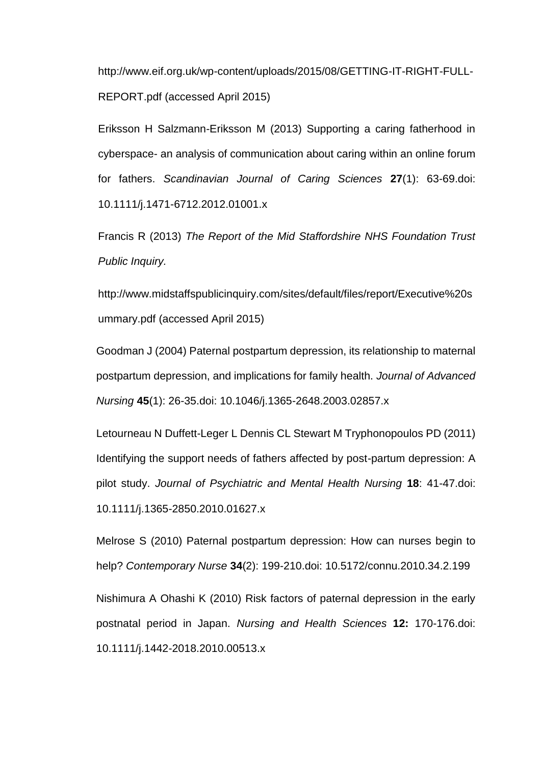[http://www.eif.org.uk/wp-content/uploads/2015/08/GETTING-IT-RIGHT-FULL-](http://www.eif.org.uk/wp-content/uploads/2015/08/GETTING-IT-RIGHT-FULL-REPORT.pdf)[REPORT.pdf](http://www.eif.org.uk/wp-content/uploads/2015/08/GETTING-IT-RIGHT-FULL-REPORT.pdf) (accessed April 2015)

Eriksson H Salzmann-Eriksson M (2013) Supporting a caring fatherhood in cyberspace- an analysis of communication about caring within an online forum for fathers. *Scandinavian Journal of Caring Sciences* **27**(1): 63-69.doi: 10.1111/j.1471-6712.2012.01001.x

Francis R (2013) *The Report of the Mid Staffordshire NHS Foundation Trust Public Inquiry.* 

[http://www.midstaffspublicinquiry.com/sites/default/files/report/Executive%20s](http://www.midstaffspublicinquiry.com/sites/default/files/report/Executive%20summary.pdf) [ummary.pdf](http://www.midstaffspublicinquiry.com/sites/default/files/report/Executive%20summary.pdf) (accessed April 2015)

Goodman J (2004) Paternal postpartum depression, its relationship to maternal postpartum depression, and implications for family health. *Journal of Advanced Nursing* **45**(1): 26-35.doi: 10.1046/j.1365-2648.2003.02857.x

Letourneau N Duffett-Leger L Dennis CL Stewart M Tryphonopoulos PD (2011) Identifying the support needs of fathers affected by post-partum depression: A pilot study. *Journal of Psychiatric and Mental Health Nursing* **18**: 41-47.doi: 10.1111/j.1365-2850.2010.01627.x

Melrose S (2010) Paternal postpartum depression: How can nurses begin to help? *Contemporary Nurse* **34**(2): 199-210.doi: 10.5172/connu.2010.34.2.199

Nishimura A Ohashi K (2010) Risk factors of paternal depression in the early postnatal period in Japan. *Nursing and Health Sciences* **12:** 170-176.doi: 10.1111/j.1442-2018.2010.00513.x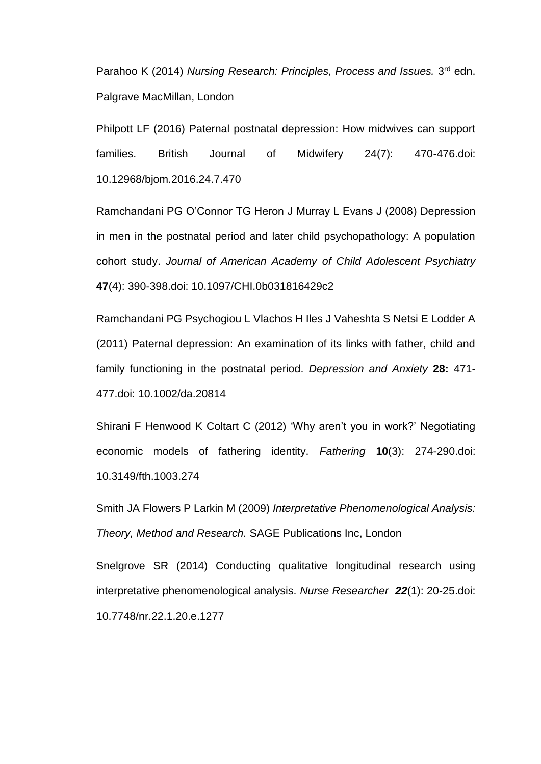Parahoo K (2014) *Nursing Research: Principles, Process and Issues.* 3<sup>rd</sup> edn. Palgrave MacMillan, London

Philpott LF (2016) Paternal postnatal depression: How midwives can support families. British Journal of Midwifery 24(7): 470-476.doi: 10.12968/bjom.2016.24.7.470

Ramchandani PG O'Connor TG Heron J Murray L Evans J (2008) Depression in men in the postnatal period and later child psychopathology: A population cohort study. *Journal of American Academy of Child Adolescent Psychiatry* **47**(4): 390-398.doi: 10.1097/CHI.0b031816429c2

Ramchandani PG Psychogiou L Vlachos H Iles J Vaheshta S Netsi E Lodder A (2011) Paternal depression: An examination of its links with father, child and family functioning in the postnatal period. *Depression and Anxiety* **28:** 471- 477.doi: 10.1002/da.20814

Shirani F Henwood K Coltart C (2012) 'Why aren't you in work?' Negotiating economic models of fathering identity. *Fathering* **10**(3): 274-290.doi: 10.3149/fth.1003.274

Smith JA Flowers P Larkin M (2009) *Interpretative Phenomenological Analysis: Theory, Method and Research.* SAGE Publications Inc, London

Snelgrove SR (2014) Conducting qualitative longitudinal research using interpretative phenomenological analysis. *Nurse Researcher 22*(1): 20-25.doi: 10.7748/nr.22.1.20.e.1277